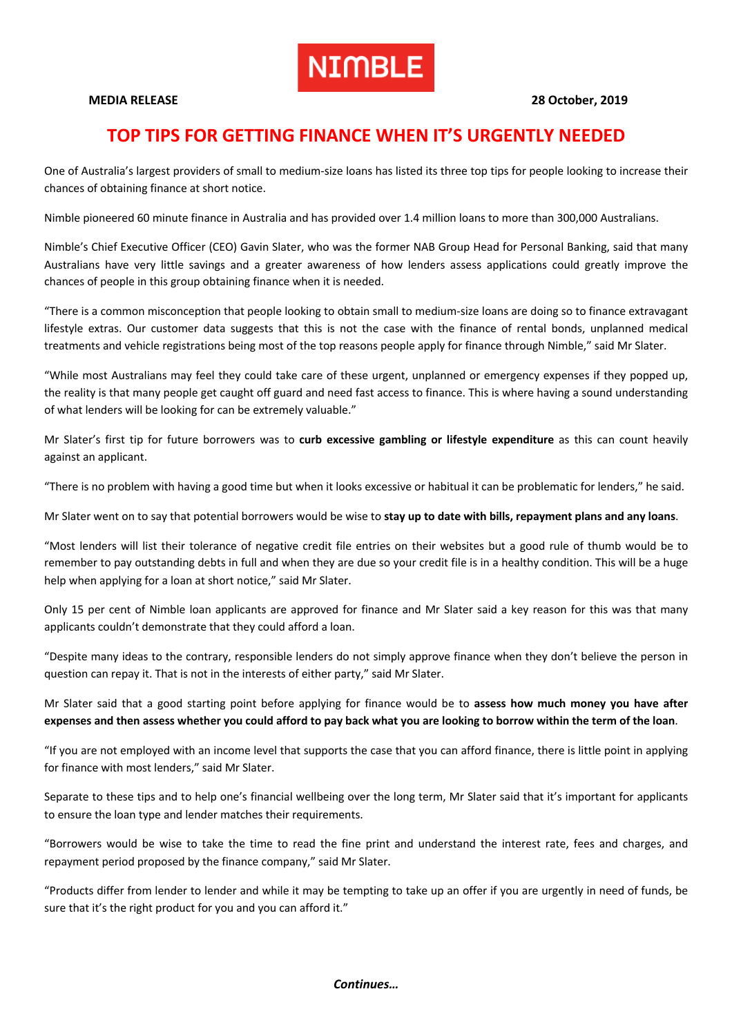# **NIMBLE**

#### **MEDIA RELEASE 28 October, 2019**

## **TOP TIPS FOR GETTING FINANCE WHEN IT'S URGENTLY NEEDED**

One of Australia's largest providers of small to medium-size loans has listed its three top tips for people looking to increase their chances of obtaining finance at short notice.

Nimble pioneered 60 minute finance in Australia and has provided over 1.4 million loans to more than 300,000 Australians.

Nimble's Chief Executive Officer (CEO) Gavin Slater, who was the former NAB Group Head for Personal Banking, said that many Australians have very little savings and a greater awareness of how lenders assess applications could greatly improve the chances of people in this group obtaining finance when it is needed.

"There is a common misconception that people looking to obtain small to medium-size loans are doing so to finance extravagant lifestyle extras. Our customer data suggests that this is not the case with the finance of rental bonds, unplanned medical treatments and vehicle registrations being most of the top reasons people apply for finance through Nimble," said Mr Slater.

"While most Australians may feel they could take care of these urgent, unplanned or emergency expenses if they popped up, the reality is that many people get caught off guard and need fast access to finance. This is where having a sound understanding of what lenders will be looking for can be extremely valuable."

Mr Slater's first tip for future borrowers was to **curb excessive gambling or lifestyle expenditure** as this can count heavily against an applicant.

"There is no problem with having a good time but when it looks excessive or habitual it can be problematic for lenders," he said.

Mr Slater went on to say that potential borrowers would be wise to **stay up to date with bills, repayment plans and any loans**.

"Most lenders will list their tolerance of negative credit file entries on their websites but a good rule of thumb would be to remember to pay outstanding debts in full and when they are due so your credit file is in a healthy condition. This will be a huge help when applying for a loan at short notice," said Mr Slater.

Only 15 per cent of Nimble loan applicants are approved for finance and Mr Slater said a key reason for this was that many applicants couldn't demonstrate that they could afford a loan.

"Despite many ideas to the contrary, responsible lenders do not simply approve finance when they don't believe the person in question can repay it. That is not in the interests of either party," said Mr Slater.

Mr Slater said that a good starting point before applying for finance would be to **assess how much money you have after expenses and then assess whether you could afford to pay back what you are looking to borrow within the term of the loan**.

"If you are not employed with an income level that supports the case that you can afford finance, there is little point in applying for finance with most lenders," said Mr Slater.

Separate to these tips and to help one's financial wellbeing over the long term, Mr Slater said that it's important for applicants to ensure the loan type and lender matches their requirements.

"Borrowers would be wise to take the time to read the fine print and understand the interest rate, fees and charges, and repayment period proposed by the finance company," said Mr Slater.

"Products differ from lender to lender and while it may be tempting to take up an offer if you are urgently in need of funds, be sure that it's the right product for you and you can afford it."

*Continues…*